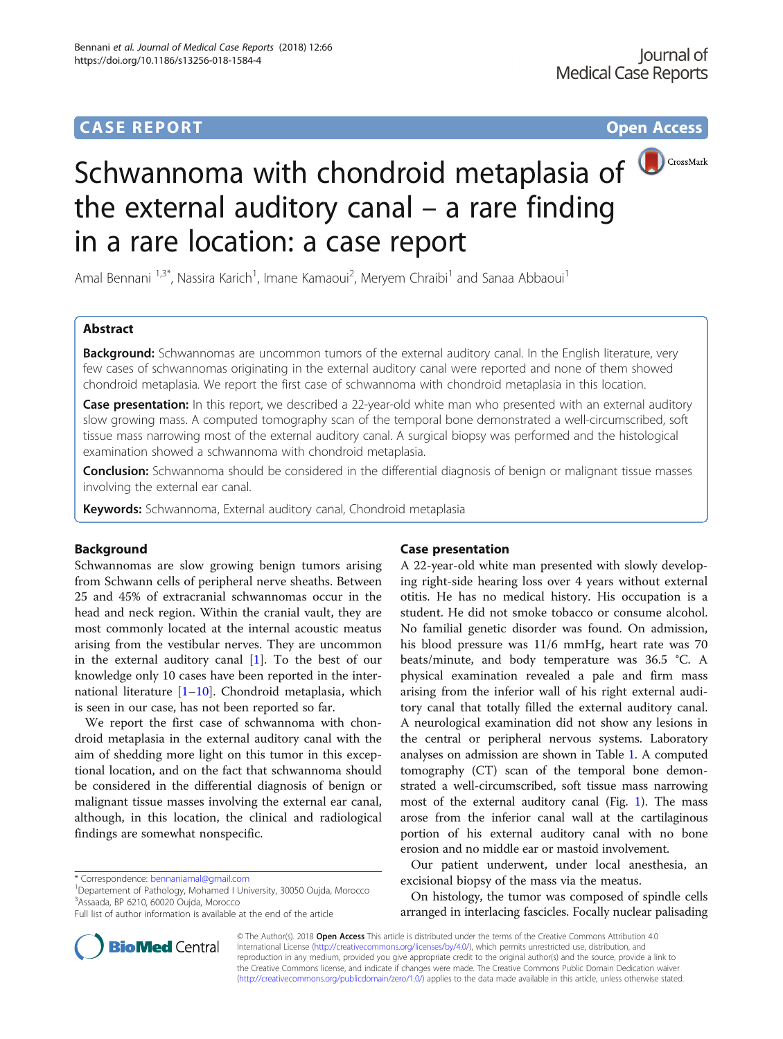# **CASE REPORT CASE REPORT CASE REPORT**



# Schwannoma with chondroid metaplasia of **D**CrossMark the external auditory canal – a rare finding in a rare location: a case report

Amal Bennani <sup>1,3\*</sup>, Nassira Karich<sup>1</sup>, Imane Kamaoui<sup>2</sup>, Meryem Chraibi<sup>1</sup> and Sanaa Abbaoui<sup>1</sup>

# Abstract

Background: Schwannomas are uncommon tumors of the external auditory canal. In the English literature, very few cases of schwannomas originating in the external auditory canal were reported and none of them showed chondroid metaplasia. We report the first case of schwannoma with chondroid metaplasia in this location.

Case presentation: In this report, we described a 22-year-old white man who presented with an external auditory slow growing mass. A computed tomography scan of the temporal bone demonstrated a well-circumscribed, soft tissue mass narrowing most of the external auditory canal. A surgical biopsy was performed and the histological examination showed a schwannoma with chondroid metaplasia.

Conclusion: Schwannoma should be considered in the differential diagnosis of benign or malignant tissue masses involving the external ear canal.

Keywords: Schwannoma, External auditory canal, Chondroid metaplasia

## Background

Schwannomas are slow growing benign tumors arising from Schwann cells of peripheral nerve sheaths. Between 25 and 45% of extracranial schwannomas occur in the head and neck region. Within the cranial vault, they are most commonly located at the internal acoustic meatus arising from the vestibular nerves. They are uncommon in the external auditory canal  $[1]$  $[1]$ . To the best of our knowledge only 10 cases have been reported in the international literature  $[1–10]$  $[1–10]$  $[1–10]$ . Chondroid metaplasia, which is seen in our case, has not been reported so far.

We report the first case of schwannoma with chondroid metaplasia in the external auditory canal with the aim of shedding more light on this tumor in this exceptional location, and on the fact that schwannoma should be considered in the differential diagnosis of benign or malignant tissue masses involving the external ear canal, although, in this location, the clinical and radiological findings are somewhat nonspecific.

**BioMed Central** 

Departement of Pathology, Mohamed I University, 30050 Oujda, Morocco 3 Assaada, BP 6210, 60020 Oujda, Morocco

## Case presentation

A 22-year-old white man presented with slowly developing right-side hearing loss over 4 years without external otitis. He has no medical history. His occupation is a student. He did not smoke tobacco or consume alcohol. No familial genetic disorder was found. On admission, his blood pressure was 11/6 mmHg, heart rate was 70 beats/minute, and body temperature was 36.5 °C. A physical examination revealed a pale and firm mass arising from the inferior wall of his right external auditory canal that totally filled the external auditory canal. A neurological examination did not show any lesions in the central or peripheral nervous systems. Laboratory analyses on admission are shown in Table [1.](#page-1-0) A computed tomography (CT) scan of the temporal bone demonstrated a well-circumscribed, soft tissue mass narrowing most of the external auditory canal (Fig. [1\)](#page-1-0). The mass arose from the inferior canal wall at the cartilaginous portion of his external auditory canal with no bone erosion and no middle ear or mastoid involvement.

Our patient underwent, under local anesthesia, an excisional biopsy of the mass via the meatus.

On histology, the tumor was composed of spindle cells arranged in interlacing fascicles. Focally nuclear palisading

© The Author(s). 2018 Open Access This article is distributed under the terms of the Creative Commons Attribution 4.0 International License [\(http://creativecommons.org/licenses/by/4.0/](http://creativecommons.org/licenses/by/4.0/)), which permits unrestricted use, distribution, and reproduction in any medium, provided you give appropriate credit to the original author(s) and the source, provide a link to the Creative Commons license, and indicate if changes were made. The Creative Commons Public Domain Dedication waiver [\(http://creativecommons.org/publicdomain/zero/1.0/](http://creativecommons.org/publicdomain/zero/1.0/)) applies to the data made available in this article, unless otherwise stated.

<sup>\*</sup> Correspondence: [bennaniamal@gmail.com](mailto:bennaniamal@gmail.com) <sup>1</sup>

Full list of author information is available at the end of the article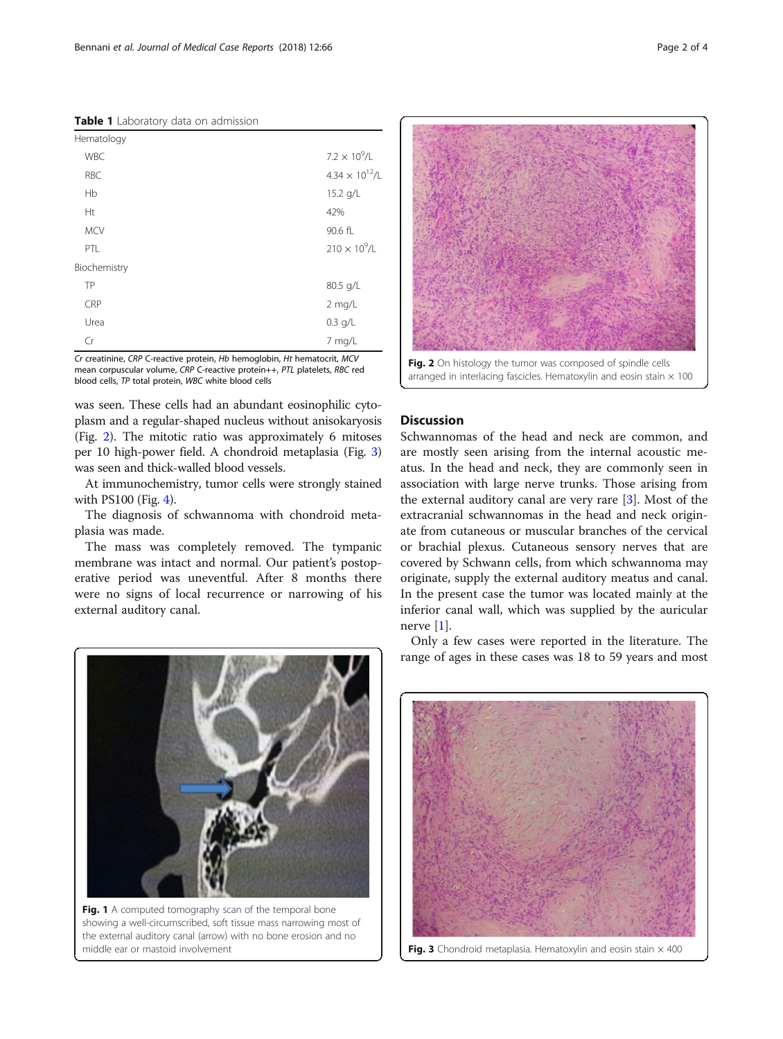<span id="page-1-0"></span>Table 1 Laboratory data on admission

| Hematology   |                          |
|--------------|--------------------------|
| <b>WBC</b>   | $7.2 \times 10^9 / L$    |
| <b>RBC</b>   | $4.34 \times 10^{12}$ /l |
| Hb           | 15.2 g/L                 |
| Ht           | 42%                      |
| <b>MCV</b>   | 90.6 fL                  |
| PTL          | $210 \times 10^{9}$ /L   |
| Biochemistry |                          |
| TP           | 80.5 g/L                 |
| CRP          | $2$ mg/L                 |
| Urea         | $0.3$ g/L                |
| Cr           | 7 mg/L                   |

Cr creatinine, CRP C-reactive protein, Hb hemoglobin, Ht hematocrit, MCV mean corpuscular volume, CRP C-reactive protein++, PTL platelets, RBC red blood cells, TP total protein, WBC white blood cells

was seen. These cells had an abundant eosinophilic cytoplasm and a regular-shaped nucleus without anisokaryosis (Fig. 2). The mitotic ratio was approximately 6 mitoses per 10 high-power field. A chondroid metaplasia (Fig. 3) was seen and thick-walled blood vessels.

At immunochemistry, tumor cells were strongly stained with PS100 (Fig. [4](#page-2-0)).

The diagnosis of schwannoma with chondroid metaplasia was made.

The mass was completely removed. The tympanic membrane was intact and normal. Our patient's postoperative period was uneventful. After 8 months there were no signs of local recurrence or narrowing of his external auditory canal.



Fig. 1 A computed tomography scan of the temporal bone showing a well-circumscribed, soft tissue mass narrowing most of the external auditory canal (arrow) with no bone erosion and no middle ear or mastoid involvement



Fig. 2 On histology the tumor was composed of spindle cells arranged in interlacing fascicles. Hematoxylin and eosin stain  $\times$  100

## **Discussion**

Schwannomas of the head and neck are common, and are mostly seen arising from the internal acoustic meatus. In the head and neck, they are commonly seen in association with large nerve trunks. Those arising from the external auditory canal are very rare [[3\]](#page-3-0). Most of the extracranial schwannomas in the head and neck originate from cutaneous or muscular branches of the cervical or brachial plexus. Cutaneous sensory nerves that are covered by Schwann cells, from which schwannoma may originate, supply the external auditory meatus and canal. In the present case the tumor was located mainly at the inferior canal wall, which was supplied by the auricular nerve [[1](#page-3-0)].

Only a few cases were reported in the literature. The range of ages in these cases was 18 to 59 years and most



**Fig. 3** Chondroid metaplasia. Hematoxylin and eosin stain  $\times$  400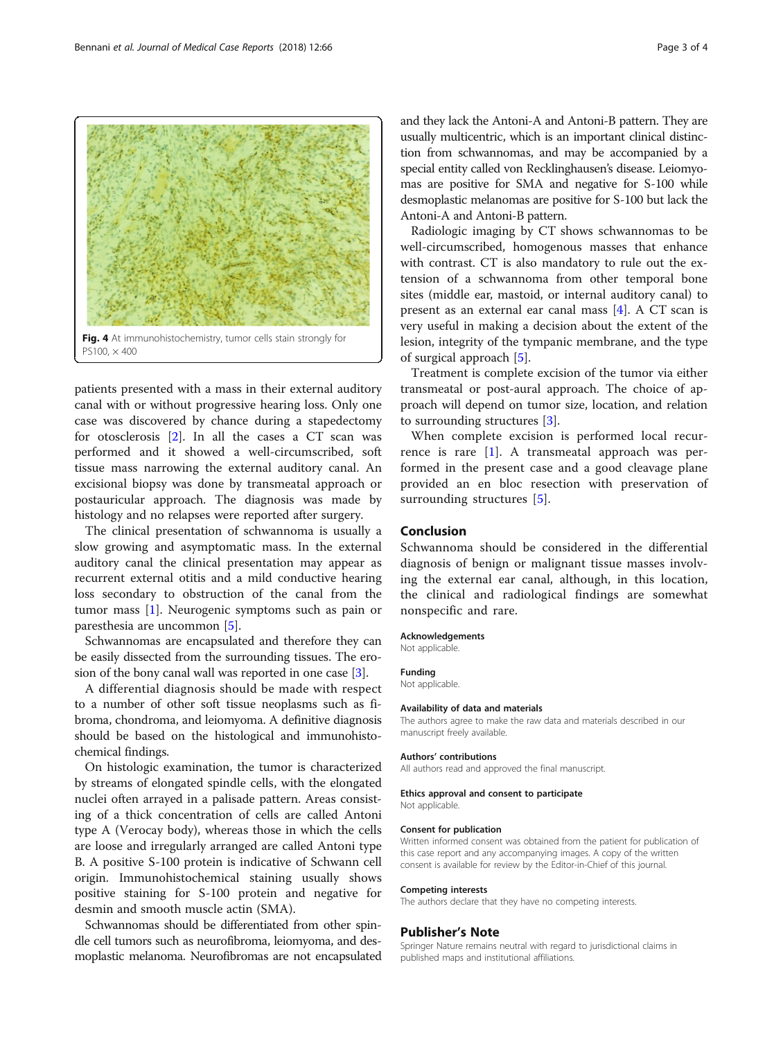patients presented with a mass in their external auditory canal with or without progressive hearing loss. Only one case was discovered by chance during a stapedectomy for otosclerosis [[2\]](#page-3-0). In all the cases a CT scan was performed and it showed a well-circumscribed, soft tissue mass narrowing the external auditory canal. An excisional biopsy was done by transmeatal approach or postauricular approach. The diagnosis was made by histology and no relapses were reported after surgery.

The clinical presentation of schwannoma is usually a slow growing and asymptomatic mass. In the external auditory canal the clinical presentation may appear as recurrent external otitis and a mild conductive hearing loss secondary to obstruction of the canal from the tumor mass [[1](#page-3-0)]. Neurogenic symptoms such as pain or paresthesia are uncommon [\[5](#page-3-0)].

Schwannomas are encapsulated and therefore they can be easily dissected from the surrounding tissues. The erosion of the bony canal wall was reported in one case [\[3](#page-3-0)].

A differential diagnosis should be made with respect to a number of other soft tissue neoplasms such as fibroma, chondroma, and leiomyoma. A definitive diagnosis should be based on the histological and immunohistochemical findings.

On histologic examination, the tumor is characterized by streams of elongated spindle cells, with the elongated nuclei often arrayed in a palisade pattern. Areas consisting of a thick concentration of cells are called Antoni type A (Verocay body), whereas those in which the cells are loose and irregularly arranged are called Antoni type B. A positive S-100 protein is indicative of Schwann cell origin. Immunohistochemical staining usually shows positive staining for S-100 protein and negative for desmin and smooth muscle actin (SMA).

Schwannomas should be differentiated from other spindle cell tumors such as neurofibroma, leiomyoma, and desmoplastic melanoma. Neurofibromas are not encapsulated and they lack the Antoni-A and Antoni-B pattern. They are usually multicentric, which is an important clinical distinction from schwannomas, and may be accompanied by a special entity called von Recklinghausen's disease. Leiomyomas are positive for SMA and negative for S-100 while desmoplastic melanomas are positive for S-100 but lack the Antoni-A and Antoni-B pattern.

Radiologic imaging by CT shows schwannomas to be well-circumscribed, homogenous masses that enhance with contrast. CT is also mandatory to rule out the extension of a schwannoma from other temporal bone sites (middle ear, mastoid, or internal auditory canal) to present as an external ear canal mass [\[4](#page-3-0)]. A CT scan is very useful in making a decision about the extent of the lesion, integrity of the tympanic membrane, and the type of surgical approach [[5\]](#page-3-0).

Treatment is complete excision of the tumor via either transmeatal or post-aural approach. The choice of approach will depend on tumor size, location, and relation to surrounding structures [[3\]](#page-3-0).

When complete excision is performed local recurrence is rare  $[1]$  $[1]$ . A transmeatal approach was performed in the present case and a good cleavage plane provided an en bloc resection with preservation of surrounding structures [[5\]](#page-3-0).

## Conclusion

Schwannoma should be considered in the differential diagnosis of benign or malignant tissue masses involving the external ear canal, although, in this location, the clinical and radiological findings are somewhat nonspecific and rare.

#### Acknowledgements

Not applicable.

# Funding

Not applicable.

#### Availability of data and materials

The authors agree to make the raw data and materials described in our manuscript freely available.

#### Authors' contributions

All authors read and approved the final manuscript.

#### Ethics approval and consent to participate

Not applicable.

#### Consent for publication

Written informed consent was obtained from the patient for publication of this case report and any accompanying images. A copy of the written consent is available for review by the Editor-in-Chief of this journal.

#### Competing interests

The authors declare that they have no competing interests.

#### Publisher's Note

Springer Nature remains neutral with regard to jurisdictional claims in published maps and institutional affiliations.

<span id="page-2-0"></span>